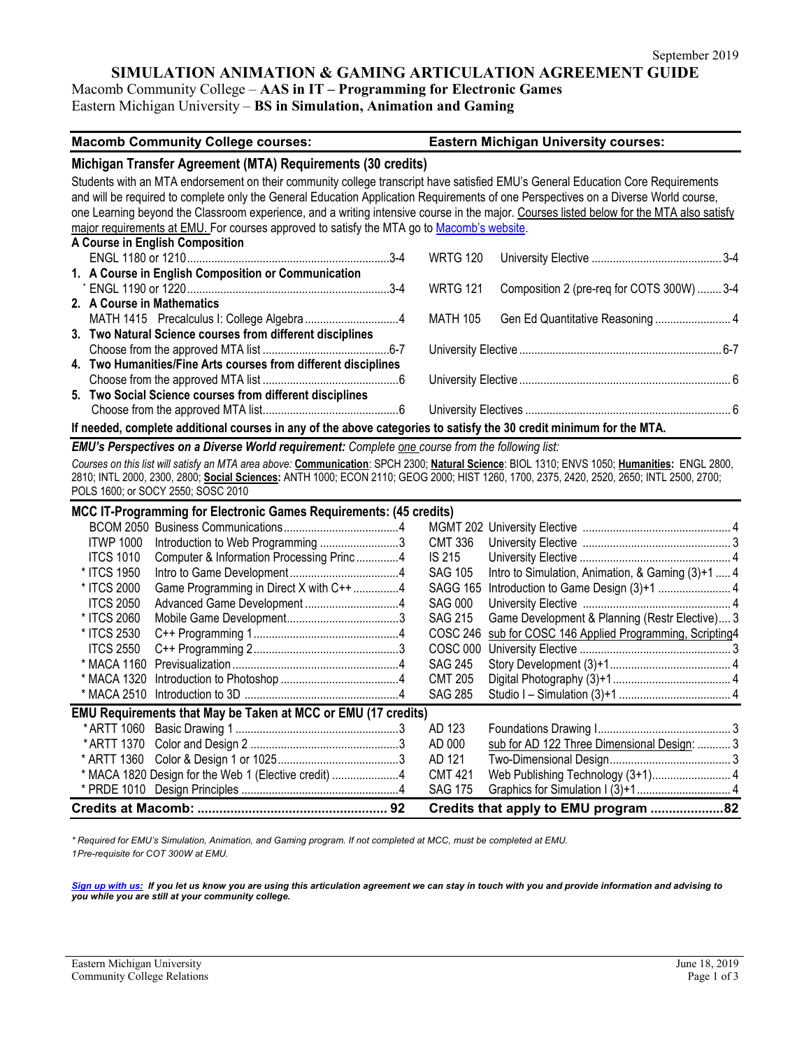# **SIMULATION ANIMATION & GAMING ARTICULATION AGREEMENT GUIDE**

Macomb Community College – **AAS in IT – Programming for Electronic Games**

Eastern Michigan University – **BS in Simulation, Animation and Gaming**

| <b>Macomb Community College courses:</b>                                                                                                     |                 | <b>Eastern Michigan University courses:</b>       |  |  |  |
|----------------------------------------------------------------------------------------------------------------------------------------------|-----------------|---------------------------------------------------|--|--|--|
| Michigan Transfer Agreement (MTA) Requirements (30 credits)                                                                                  |                 |                                                   |  |  |  |
| Students with an MTA endorsement on their community college transcript have satisfied EMU's General Education Core Requirements              |                 |                                                   |  |  |  |
| and will be required to complete only the General Education Application Requirements of one Perspectives on a Diverse World course,          |                 |                                                   |  |  |  |
| one Learning beyond the Classroom experience, and a writing intensive course in the major. Courses listed below for the MTA also satisfy     |                 |                                                   |  |  |  |
| major requirements at EMU. For courses approved to satisfy the MTA go to Macomb's website.                                                   |                 |                                                   |  |  |  |
| A Course in English Composition                                                                                                              |                 |                                                   |  |  |  |
|                                                                                                                                              | <b>WRTG 120</b> |                                                   |  |  |  |
| 1. A Course in English Composition or Communication                                                                                          |                 |                                                   |  |  |  |
|                                                                                                                                              | <b>WRTG 121</b> | Composition 2 (pre-req for COTS 300W)  3-4        |  |  |  |
| 2. A Course in Mathematics                                                                                                                   |                 |                                                   |  |  |  |
|                                                                                                                                              | <b>MATH 105</b> | Gen Ed Quantitative Reasoning  4                  |  |  |  |
| 3. Two Natural Science courses from different disciplines                                                                                    |                 |                                                   |  |  |  |
|                                                                                                                                              |                 |                                                   |  |  |  |
| 4. Two Humanities/Fine Arts courses from different disciplines                                                                               |                 |                                                   |  |  |  |
|                                                                                                                                              |                 |                                                   |  |  |  |
| 5. Two Social Science courses from different disciplines                                                                                     |                 |                                                   |  |  |  |
|                                                                                                                                              |                 |                                                   |  |  |  |
| If needed, complete additional courses in any of the above categories to satisfy the 30 credit minimum for the MTA.                          |                 |                                                   |  |  |  |
| EMU's Perspectives on a Diverse World requirement: Complete one course from the following list:                                              |                 |                                                   |  |  |  |
| Courses on this list will satisfy an MTA area above: Communication: SPCH 2300; Natural Science: BIOL 1310; ENVS 1050; Humanities: ENGL 2800, |                 |                                                   |  |  |  |
| 2810; INTL 2000, 2300, 2800; Social Sciences: ANTH 1000; ECON 2110; GEOG 2000; HIST 1260, 1700, 2375, 2420, 2520, 2650; INTL 2500, 2700;     |                 |                                                   |  |  |  |
| POLS 1600; or SOCY 2550; SOSC 2010                                                                                                           |                 |                                                   |  |  |  |
| MCC IT-Programming for Electronic Games Requirements: (45 credits)                                                                           |                 |                                                   |  |  |  |
|                                                                                                                                              |                 |                                                   |  |  |  |
| Introduction to Web Programming 3<br><b>ITWP 1000</b>                                                                                        | <b>CMT 336</b>  |                                                   |  |  |  |
| <b>ITCS 1010</b><br>Computer & Information Processing Princ4                                                                                 | <b>IS 215</b>   |                                                   |  |  |  |
| * ITCS 1950                                                                                                                                  | <b>SAG 105</b>  | Intro to Simulation, Animation, & Gaming (3)+1  4 |  |  |  |
| Game Programming in Direct X with C++ 4<br>* ITCS 2000                                                                                       | <b>SAGG 165</b> | Introduction to Game Design (3)+1  4              |  |  |  |
| <b>ITCS 2050</b>                                                                                                                             | <b>SAG 000</b>  |                                                   |  |  |  |
| * ITCS 2060                                                                                                                                  | <b>SAG 215</b>  | Game Development & Planning (Restr Elective) 3    |  |  |  |
| * ITCS 2530                                                                                                                                  | <b>COSC 246</b> | sub for COSC 146 Applied Programming, Scripting4  |  |  |  |
| <b>ITCS 2550</b>                                                                                                                             | <b>COSC 000</b> |                                                   |  |  |  |
|                                                                                                                                              | <b>SAG 245</b>  |                                                   |  |  |  |
|                                                                                                                                              | <b>CMT 205</b>  |                                                   |  |  |  |
|                                                                                                                                              | <b>SAG 285</b>  |                                                   |  |  |  |
| EMU Requirements that May be Taken at MCC or EMU (17 credits)                                                                                |                 |                                                   |  |  |  |
|                                                                                                                                              | AD 123          |                                                   |  |  |  |
|                                                                                                                                              | AD 000          | sub for AD 122 Three Dimensional Design:  3       |  |  |  |
|                                                                                                                                              | AD 121          |                                                   |  |  |  |
| * MACA 1820 Design for the Web 1 (Elective credit) 4                                                                                         | <b>CMT 421</b>  | Web Publishing Technology (3+1) 4                 |  |  |  |
|                                                                                                                                              | <b>SAG 175</b>  |                                                   |  |  |  |
|                                                                                                                                              |                 | Credits that apply to EMU program 82              |  |  |  |

*\* Required for EMU's Simulation, Animation, and Gaming program. If not completed at MCC, must be completed at EMU. 1Pre-requisite for COT 300W at EMU.*

*[Sign up with us:](https://www.emich.edu/ccr/articulation-agreements/signup.php.) If you let us know you are using this articulation agreement we can stay in touch with you and provide information and advising to you while you are still at your community college.*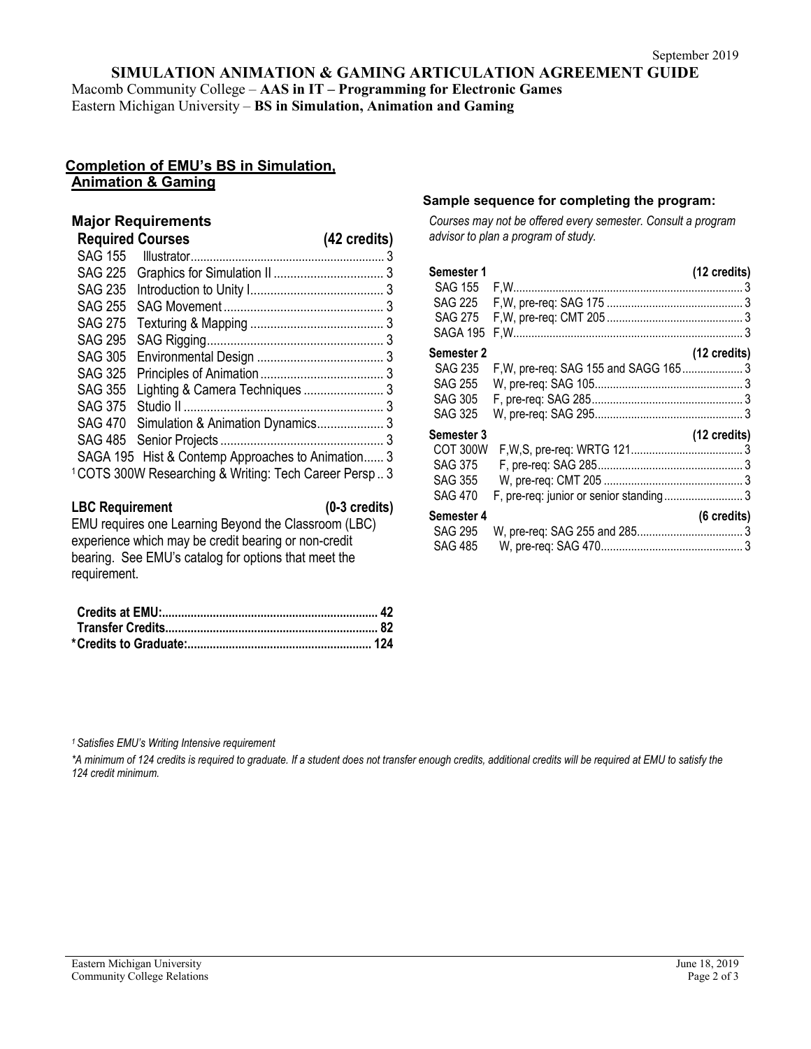### **SIMULATION ANIMATION & GAMING ARTICULATION AGREEMENT GUIDE**

Macomb Community College – **AAS in IT – Programming for Electronic Games** Eastern Michigan University – **BS in Simulation, Animation and Gaming**

# **Completion of EMU's BS in Simulation, Animation & Gaming**

## **Major Requirements**

| <b>Required Courses</b> |                                                                   | (42 credits) |
|-------------------------|-------------------------------------------------------------------|--------------|
|                         |                                                                   |              |
| <b>SAG 225</b>          |                                                                   |              |
| <b>SAG 235</b>          |                                                                   |              |
| <b>SAG 255</b>          |                                                                   |              |
| <b>SAG 275</b>          |                                                                   |              |
| <b>SAG 295</b>          |                                                                   |              |
| <b>SAG 305</b>          |                                                                   |              |
| <b>SAG 325</b>          |                                                                   |              |
| <b>SAG 355</b>          | Lighting & Camera Techniques  3                                   |              |
| <b>SAG 375</b>          |                                                                   |              |
|                         | SAG 470 Simulation & Animation Dynamics 3                         |              |
|                         |                                                                   |              |
|                         | SAGA 195 Hist & Contemp Approaches to Animation 3                 |              |
|                         | <sup>1</sup> COTS 300W Researching & Writing: Tech Career Persp 3 |              |

#### **LBC Requirement (0-3 credits)**

EMU requires one Learning Beyond the Classroom (LBC) experience which may be credit bearing or non-credit bearing. See EMU's catalog for options that meet the requirement.

### **Sample sequence for completing the program:**

*Courses may not be offered every semester. Consult a program advisor to plan a program of study.*

| Semester 1        |                                       | (12 credits)           |
|-------------------|---------------------------------------|------------------------|
| SAG 155           |                                       |                        |
| <b>SAG 225</b>    |                                       |                        |
| <b>SAG 275</b>    |                                       |                        |
| <b>SAGA 195</b>   |                                       |                        |
| <b>Semester 2</b> |                                       | $(12 \text{ credits})$ |
| <b>SAG 235</b>    | F, W, pre-req: SAG 155 and SAGG 165 3 |                        |
| <b>SAG 255</b>    |                                       |                        |
| <b>SAG 305</b>    |                                       |                        |
| <b>SAG 325</b>    |                                       |                        |
| Semester 3        |                                       | (12 credits)           |
| COT 300W          |                                       |                        |
| <b>SAG 375</b>    |                                       |                        |
| <b>SAG 355</b>    |                                       |                        |
| <b>SAG 470</b>    |                                       |                        |
| Semester 4        |                                       | (6 credits)            |
| <b>SAG 295</b>    |                                       |                        |
| <b>SAG 485</b>    |                                       |                        |
|                   |                                       |                        |

*1 Satisfies EMU's Writing Intensive requirement*

\*A minimum of 124 credits is required to graduate. If a student does not transfer enough credits, additional credits will be required at EMU to satisfy the *124 credit minimum.*